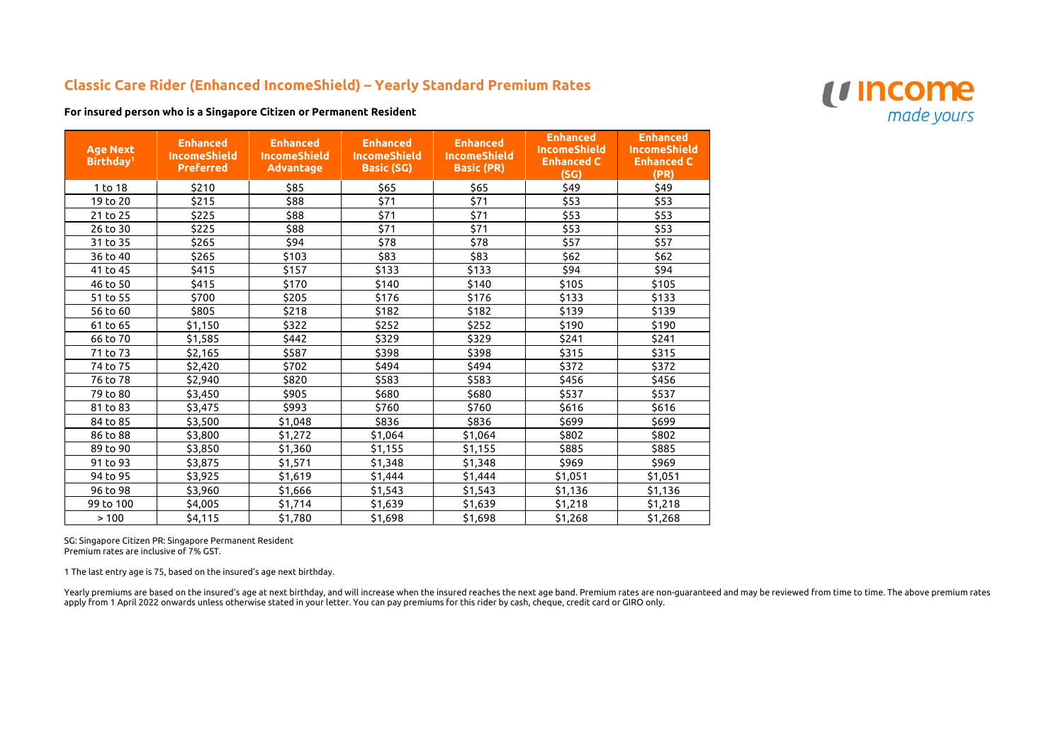## **Classic Care Rider (Enhanced IncomeShield) – Yearly Standard Premium Rates**

**For insured person who is a Singapore Citizen or Permanent Resident**

| <b>Age Next</b><br>Birthday <sup>1</sup> | <b>Enhanced</b><br><b>IncomeShield</b><br><b>Preferred</b> | <b>Enhanced</b><br><b>IncomeShield</b><br><b>Advantage</b> | <b>Enhanced</b><br><b>IncomeShield</b><br><b>Basic (SG)</b> | <b>Enhanced</b><br><b>IncomeShield</b><br><b>Basic (PR)</b> | <b>Enhanced</b><br><b>IncomeShield</b><br><b>Enhanced C</b><br>(SG) | <b>Enhanced</b><br><b>IncomeShield</b><br><b>Enhanced C</b><br>(PR) |
|------------------------------------------|------------------------------------------------------------|------------------------------------------------------------|-------------------------------------------------------------|-------------------------------------------------------------|---------------------------------------------------------------------|---------------------------------------------------------------------|
| 1 to 18                                  | \$210                                                      | \$85                                                       | \$65                                                        | \$65                                                        | \$49                                                                | \$49                                                                |
| 19 to 20                                 | \$215                                                      | \$88                                                       | \$71                                                        | \$71                                                        | \$53                                                                | \$53                                                                |
| 21 to 25                                 | \$225                                                      | \$88                                                       | \$71                                                        | \$71                                                        | \$53                                                                | \$53                                                                |
| 26 to 30                                 | \$225                                                      | \$88                                                       | \$71                                                        | \$71                                                        | \$53                                                                | \$53                                                                |
| 31 to 35                                 | \$265                                                      | \$94                                                       | \$78                                                        | \$78                                                        | \$57                                                                | \$57                                                                |
| 36 to 40                                 | \$265                                                      | \$103                                                      | \$83                                                        | \$83                                                        | \$62                                                                | \$62                                                                |
| 41 to 45                                 | \$415                                                      | \$157                                                      | \$133                                                       | \$133                                                       | \$94                                                                | \$94                                                                |
| 46 to 50                                 | \$415                                                      | \$170                                                      | \$140                                                       | \$140                                                       | \$105                                                               | \$105                                                               |
| 51 to 55                                 | \$700                                                      | \$205                                                      | \$176                                                       | \$176                                                       | \$133                                                               | \$133                                                               |
| 56 to 60                                 | \$805                                                      | \$218                                                      | \$182                                                       | \$182                                                       | \$139                                                               | \$139                                                               |
| 61 to 65                                 | \$1,150                                                    | \$322                                                      | \$252                                                       | \$252                                                       | \$190                                                               | \$190                                                               |
| 66 to 70                                 | \$1,585                                                    | \$442                                                      | \$329                                                       | \$329                                                       | \$241                                                               | \$241                                                               |
| 71 to 73                                 | \$2,165                                                    | \$587                                                      | \$398                                                       | \$398                                                       | \$315                                                               | \$315                                                               |
| 74 to 75                                 | \$2,420                                                    | \$702                                                      | \$494                                                       | \$494                                                       | \$372                                                               | \$372                                                               |
| 76 to 78                                 | \$2,940                                                    | \$820                                                      | \$583                                                       | \$583                                                       | \$456                                                               | \$456                                                               |
| 79 to 80                                 | \$3,450                                                    | \$905                                                      | \$680                                                       | \$680                                                       | \$537                                                               | \$537                                                               |
| 81 to 83                                 | \$3,475                                                    | \$993                                                      | \$760                                                       | \$760                                                       | \$616                                                               | \$616                                                               |
| 84 to 85                                 | \$3,500                                                    | \$1,048                                                    | \$836                                                       | \$836                                                       | \$699                                                               | \$699                                                               |
| 86 to 88                                 | \$3,800                                                    | \$1,272                                                    | \$1,064                                                     | \$1,064                                                     | \$802                                                               | \$802                                                               |
| 89 to 90                                 | \$3,850                                                    | \$1,360                                                    | \$1,155                                                     | \$1,155                                                     | \$885                                                               | \$885                                                               |
| 91 to 93                                 | \$3,875                                                    | \$1,571                                                    | \$1,348                                                     | \$1,348                                                     | \$969                                                               | \$969                                                               |
| 94 to 95                                 | \$3,925                                                    | \$1,619                                                    | \$1,444                                                     | \$1,444                                                     | \$1,051                                                             | \$1,051                                                             |
| 96 to 98                                 | \$3,960                                                    | \$1,666                                                    | \$1,543                                                     | \$1,543                                                     | \$1,136                                                             | \$1,136                                                             |
| 99 to 100                                | \$4,005                                                    | \$1,714                                                    | \$1,639                                                     | \$1,639                                                     | \$1,218                                                             | \$1,218                                                             |
| >100                                     | \$4,115                                                    | \$1,780                                                    | \$1,698                                                     | \$1,698                                                     | \$1,268                                                             | \$1,268                                                             |

Yearly premiums are based on the insured's age at next birthday, and will increase when the insured reaches the next age band. Premium rates are non-guaranteed and may be reviewed from time to time. The above premium rates apply from 1 April 2022 onwards unless otherwise stated in your letter. You can pay premiums for this rider by cash, cheque, credit card or GIRO only.



SG: Singapore Citizen PR: Singapore Permanent Resident Premium rates are inclusive of 7% GST.

1 The last entry age is 75, based on the insured's age next birthday.